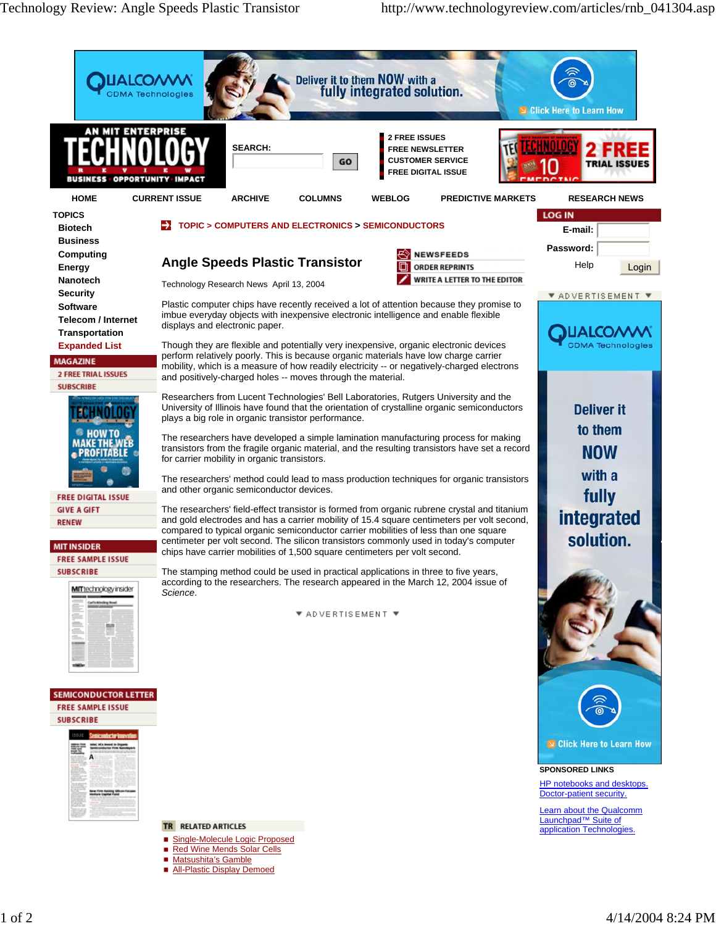